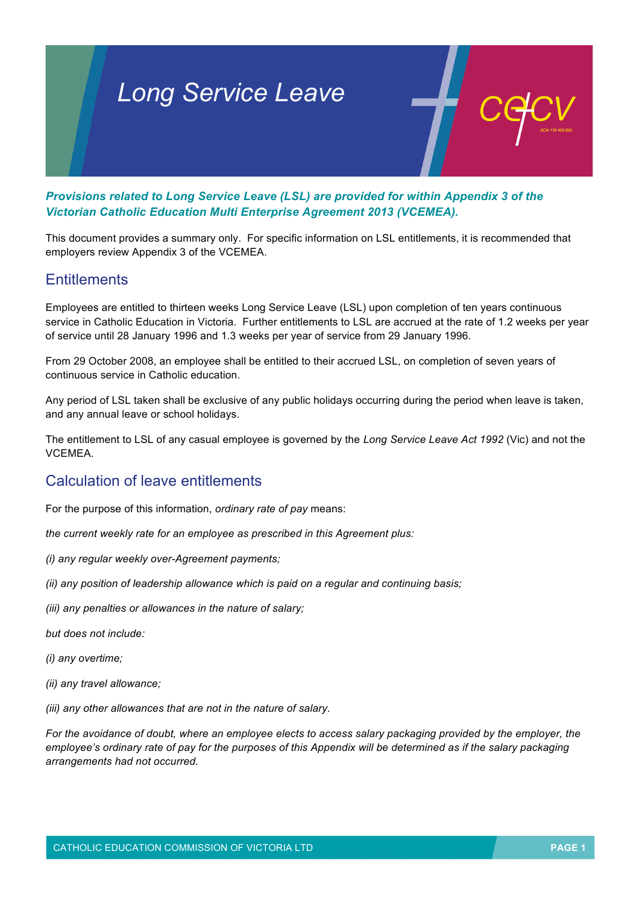# *Long Service Leave*

*Provisions related to Long Service Leave (LSL) are provided for within Appendix 3 of the Victorian Catholic Education Multi Enterprise Agreement 2013 (VCEMEA).*

This document provides a summary only. For specific information on LSL entitlements, it is recommended that employers review Appendix 3 of the VCEMEA.

#### **Entitlements**

Employees are entitled to thirteen weeks Long Service Leave (LSL) upon completion of ten years continuous service in Catholic Education in Victoria. Further entitlements to LSL are accrued at the rate of 1.2 weeks per year of service until 28 January 1996 and 1.3 weeks per year of service from 29 January 1996.

From 29 October 2008, an employee shall be entitled to their accrued LSL, on completion of seven years of continuous service in Catholic education.

Any period of LSL taken shall be exclusive of any public holidays occurring during the period when leave is taken, and any annual leave or school holidays.

The entitlement to LSL of any casual employee is governed by the *Long Service Leave Act 1992* (Vic) and not the **VCEMEA** 

## Calculation of leave entitlements

For the purpose of this information, *ordinary rate of pay* means:

*the current weekly rate for an employee as prescribed in this Agreement plus:*

- *(i) any regular weekly over-Agreement payments;*
- *(ii) any position of leadership allowance which is paid on a regular and continuing basis;*

*(iii) any penalties or allowances in the nature of salary;*

*but does not include:*

*(i) any overtime;*

*(ii) any travel allowance;*

*(iii) any other allowances that are not in the nature of salary.*

*For the avoidance of doubt, where an employee elects to access salary packaging provided by the employer, the employee's ordinary rate of pay for the purposes of this Appendix will be determined as if the salary packaging arrangements had not occurred.*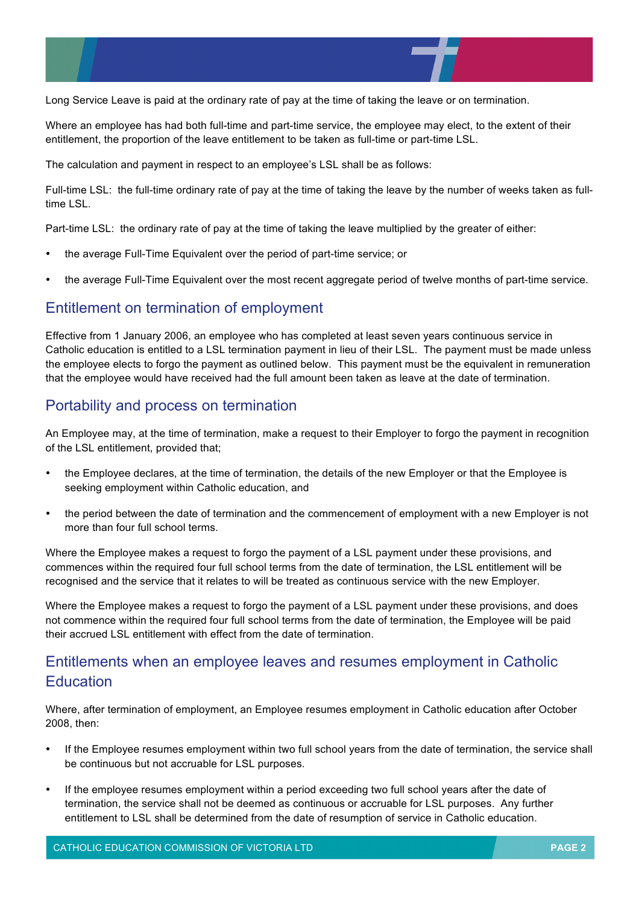

Long Service Leave is paid at the ordinary rate of pay at the time of taking the leave or on termination.

Where an employee has had both full-time and part-time service, the employee may elect, to the extent of their entitlement, the proportion of the leave entitlement to be taken as full-time or part-time LSL.

The calculation and payment in respect to an employee's LSL shall be as follows:

Full-time LSL: the full-time ordinary rate of pay at the time of taking the leave by the number of weeks taken as fulltime LSL.

Part-time LSL: the ordinary rate of pay at the time of taking the leave multiplied by the greater of either:

- the average Full-Time Equivalent over the period of part-time service; or
- the average Full-Time Equivalent over the most recent aggregate period of twelve months of part-time service.

## Entitlement on termination of employment

Effective from 1 January 2006, an employee who has completed at least seven years continuous service in Catholic education is entitled to a LSL termination payment in lieu of their LSL. The payment must be made unless the employee elects to forgo the payment as outlined below. This payment must be the equivalent in remuneration that the employee would have received had the full amount been taken as leave at the date of termination.

## Portability and process on termination

An Employee may, at the time of termination, make a request to their Employer to forgo the payment in recognition of the LSL entitlement, provided that;

- the Employee declares, at the time of termination, the details of the new Employer or that the Employee is seeking employment within Catholic education, and
- the period between the date of termination and the commencement of employment with a new Employer is not more than four full school terms.

Where the Employee makes a request to forgo the payment of a LSL payment under these provisions, and commences within the required four full school terms from the date of termination, the LSL entitlement will be recognised and the service that it relates to will be treated as continuous service with the new Employer.

Where the Employee makes a request to forgo the payment of a LSL payment under these provisions, and does not commence within the required four full school terms from the date of termination, the Employee will be paid their accrued LSL entitlement with effect from the date of termination.

# Entitlements when an employee leaves and resumes employment in Catholic **Education**

Where, after termination of employment, an Employee resumes employment in Catholic education after October 2008, then:

- If the Employee resumes employment within two full school years from the date of termination, the service shall be continuous but not accruable for LSL purposes.
- If the employee resumes employment within a period exceeding two full school years after the date of termination, the service shall not be deemed as continuous or accruable for LSL purposes. Any further entitlement to LSL shall be determined from the date of resumption of service in Catholic education.